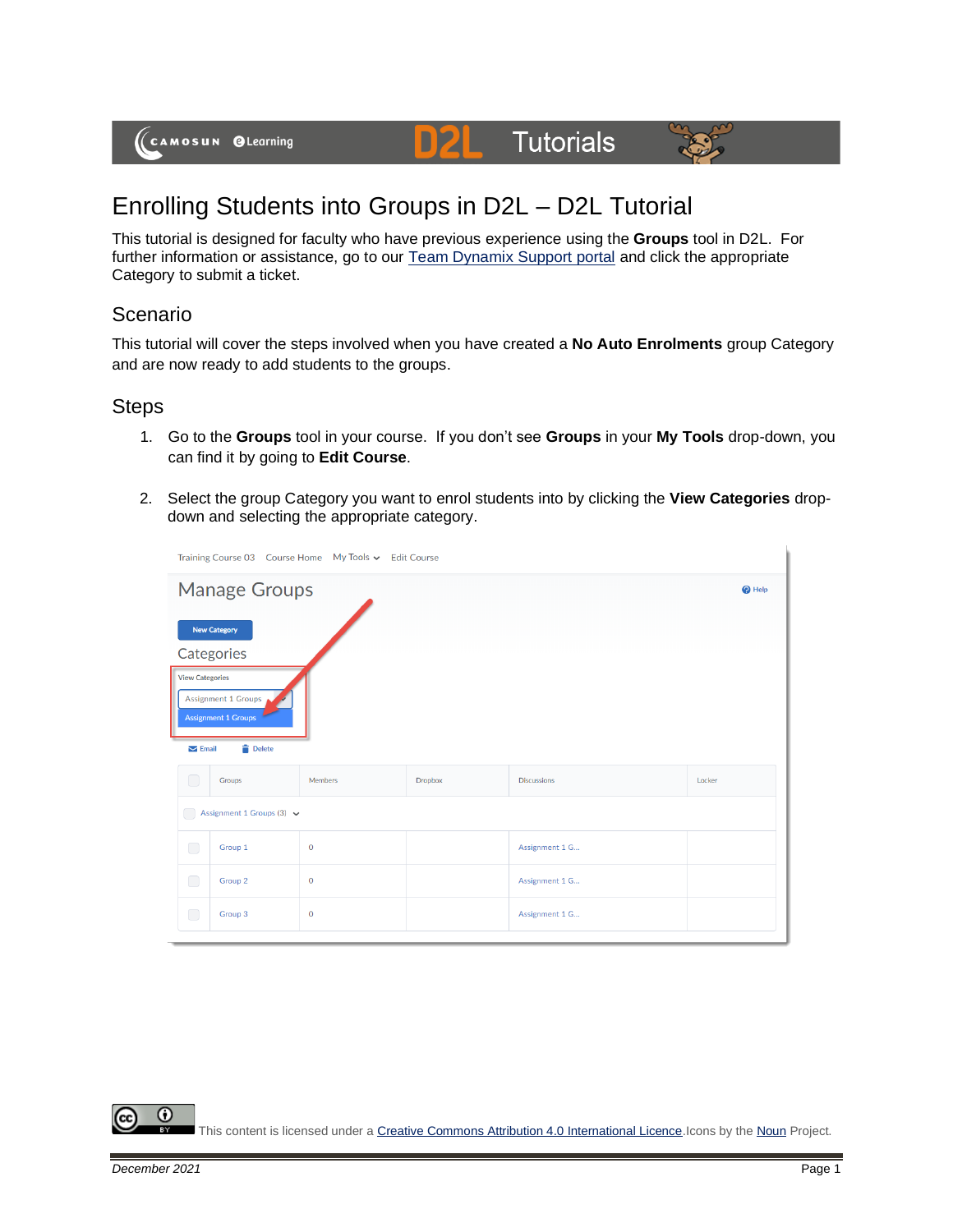



## Enrolling Students into Groups in D2L – D2L Tutorial

DZ

This tutorial is designed for faculty who have previous experience using the **Groups** tool in D2L. For further information or assistance, go to our [Team Dynamix Support portal](https://camosun.teamdynamix.com/TDClient/67/Portal/Requests/ServiceCatalog?CategoryID=523) and click the appropriate Category to submit a ticket.

## Scenario

This tutorial will cover the steps involved when you have created a **No Auto Enrolments** group Category and are now ready to add students to the groups.

## **Steps**

- 1. Go to the **Groups** tool in your course. If you don't see **Groups** in your **My Tools** drop-down, you can find it by going to **Edit Course**.
- 2. Select the group Category you want to enrol students into by clicking the **View Categories** dropdown and selecting the appropriate category.

| Training Course 03  Course Home  My Tools v  Edit Course                                                             |  |  |  |  |
|----------------------------------------------------------------------------------------------------------------------|--|--|--|--|
| <b>Manage Groups</b>                                                                                                 |  |  |  |  |
| <b>New Category</b>                                                                                                  |  |  |  |  |
| Categories                                                                                                           |  |  |  |  |
| <b>View Categories</b>                                                                                               |  |  |  |  |
| Assignment 1 Groups<br><b>Assignment 1 Groups</b>                                                                    |  |  |  |  |
| <b>Delete</b><br>$\blacktriangleright$ Email                                                                         |  |  |  |  |
| $\begin{array}{c} \square \end{array}$<br><b>Members</b><br><b>Dropbox</b><br><b>Discussions</b><br>Locker<br>Groups |  |  |  |  |
| Assignment 1 Groups (3) $\sim$<br>Œ                                                                                  |  |  |  |  |
| $\bigcap$<br>Assignment 1 G<br>Group 1<br>$\mathbf 0$                                                                |  |  |  |  |
| ◯<br>Group 2<br>$\mathsf{O}\xspace$<br>Assignment 1 G                                                                |  |  |  |  |
| $\Box$<br>Group 3<br>$\mathbf 0$<br>Assignment 1 G                                                                   |  |  |  |  |

0 This content is licensed under [a Creative Commons Attribution 4.0 International Licence.I](https://creativecommons.org/licenses/by/4.0/)cons by th[e Noun](https://creativecommons.org/website-icons/) Project.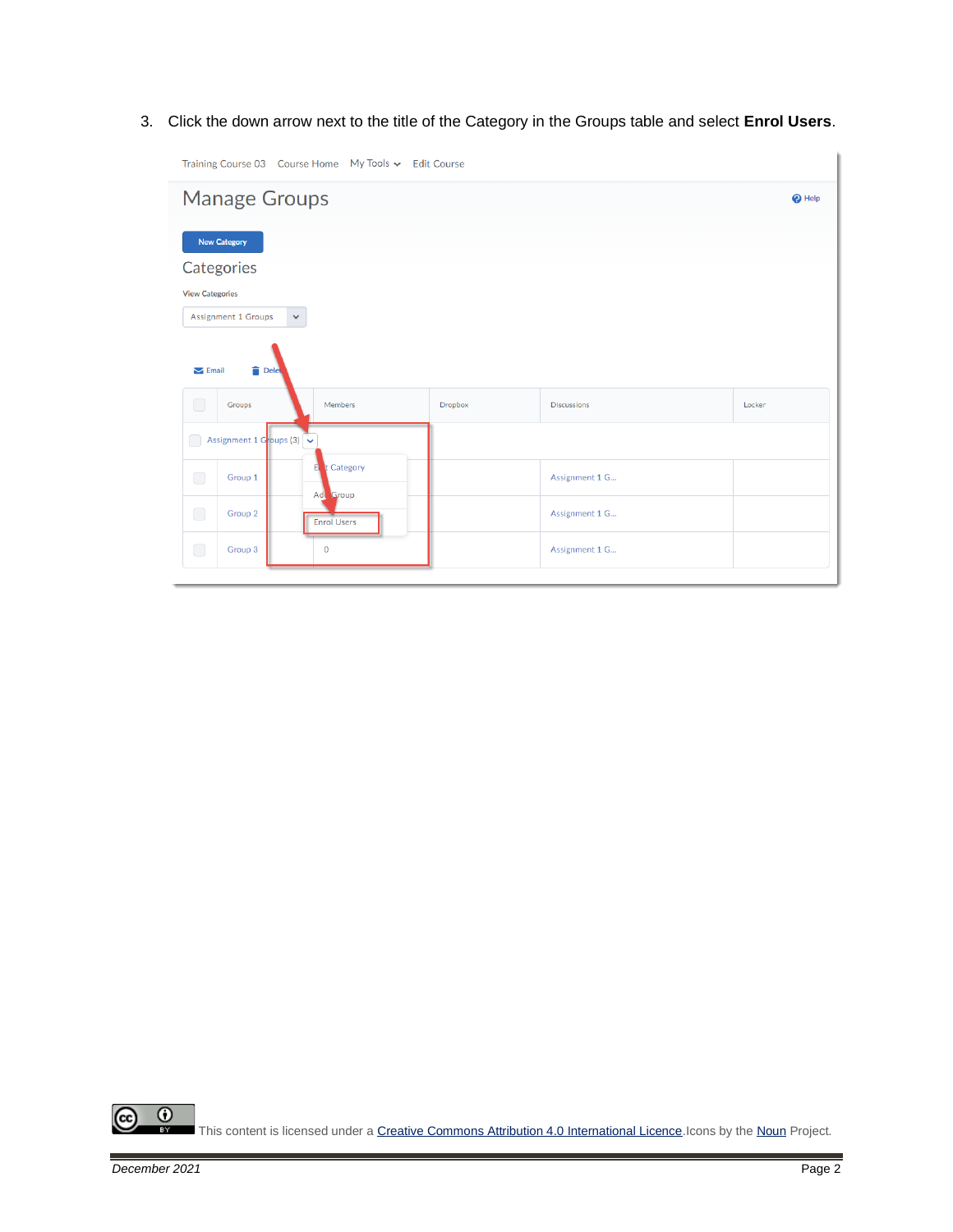3. Click the down arrow next to the title of the Category in the Groups table and select **Enrol Users**.

| Training Course 03    Course Home    My Tools    -    Edit Course                                                                                              |                |                    |        |  |  |
|----------------------------------------------------------------------------------------------------------------------------------------------------------------|----------------|--------------------|--------|--|--|
| <b>Manage Groups</b>                                                                                                                                           |                |                    |        |  |  |
| <sup>O</sup> Help<br><b>New Category</b><br>Categories<br><b>View Categories</b><br><b>Assignment 1 Groups</b><br>$\checkmark$<br><b>Delet</b><br>$\sum$ Email |                |                    |        |  |  |
| $\Box$<br>Members<br>Groups                                                                                                                                    | <b>Dropbox</b> | <b>Discussions</b> | Locker |  |  |
| Assignment 1 Groups (3) $\sim$<br>f.                                                                                                                           |                |                    |        |  |  |
| E<br>t Category<br>$\bigcirc$<br>Group 1<br>Add Group                                                                                                          |                | Assignment 1 G     |        |  |  |
| $\hspace{0.5cm} \square$<br>Group 2<br><b>Enrol Users</b>                                                                                                      |                | Assignment 1 G     |        |  |  |
| $\bigcirc$<br>Group 3<br>$\mathbf 0$                                                                                                                           |                | Assignment 1 G     |        |  |  |

 $\overline{0}$ ඥ This content is licensed under [a Creative Commons Attribution 4.0 International Licence.I](https://creativecommons.org/licenses/by/4.0/)cons by th[e Noun](https://creativecommons.org/website-icons/) Project.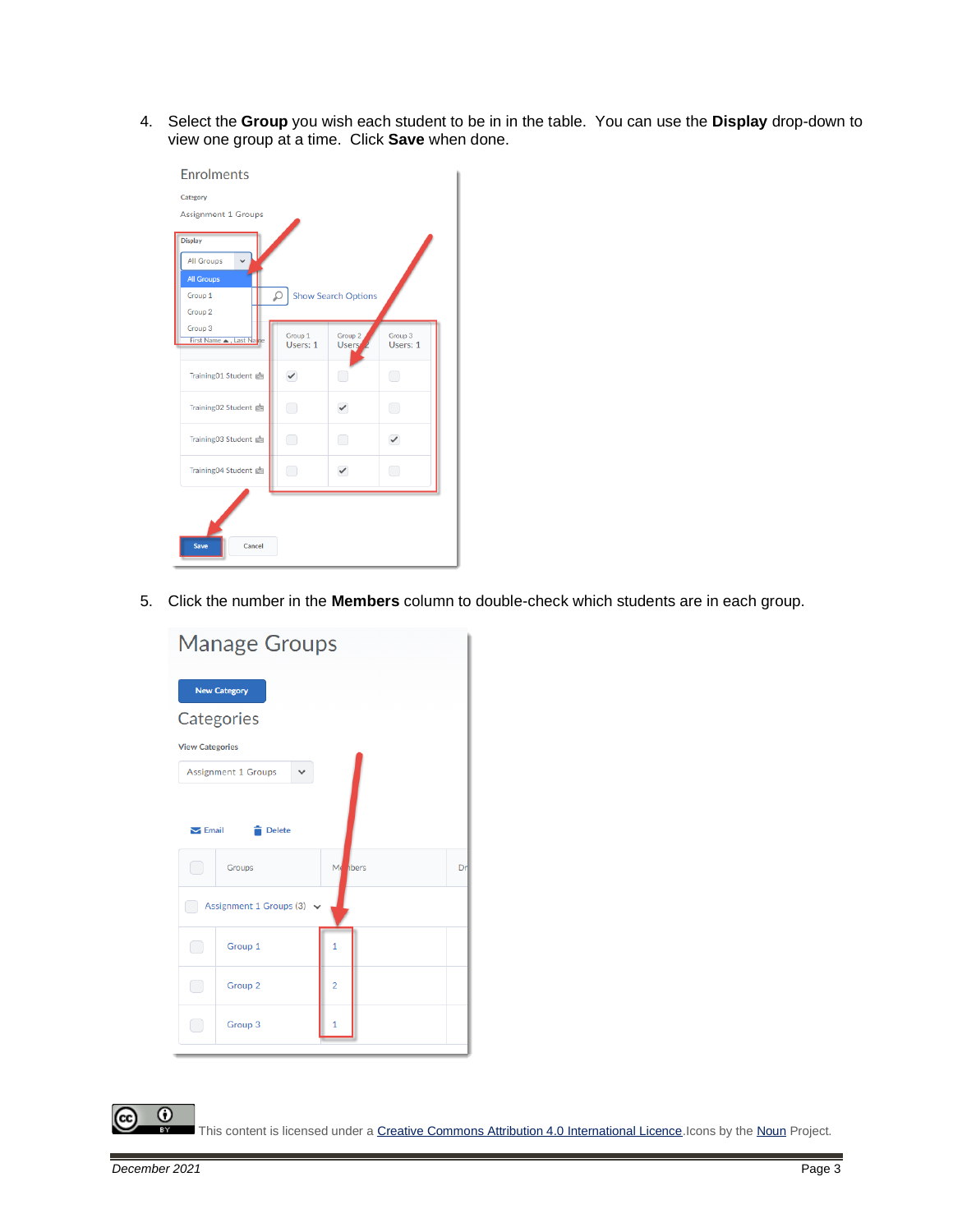4. Select the **Group** you wish each student to be in in the table. You can use the **Display** drop-down to view one group at a time. Click **Save** when done.

| <b>Enrolments</b>                          |                     |                          |                     |  |
|--------------------------------------------|---------------------|--------------------------|---------------------|--|
| Category                                   |                     |                          |                     |  |
| <b>Assignment 1 Groups</b>                 |                     |                          |                     |  |
| <b>Display</b>                             |                     |                          |                     |  |
| <b>All Groups</b><br>$\checkmark$          |                     |                          |                     |  |
| <b>All Groups</b>                          |                     |                          |                     |  |
| <b>Show Search Options</b><br>Group 1<br>£ |                     |                          |                     |  |
| Group <sub>2</sub><br>Group 3              |                     |                          |                     |  |
| First Name . Last Name                     | Group 1<br>Users: 1 | Group 2<br><b>Users</b>  | Group 3<br>Users: 1 |  |
|                                            |                     |                          |                     |  |
| Training01 Student 面                       | $\checkmark$        | $\overline{\phantom{a}}$ | ◯                   |  |
| Training02 Student e                       | ∩                   | ✓                        | 77                  |  |
| Training03 Student 面                       | ∩                   | n                        |                     |  |
| Training04 Student e                       | ∩                   | $\checkmark$             | ◯                   |  |
| Cancel<br><b>Save</b>                      |                     |                          |                     |  |

5. Click the number in the **Members** column to double-check which students are in each group.

|                             | <b>Manage Groups</b>       |                |  |    |
|-----------------------------|----------------------------|----------------|--|----|
|                             | <b>New Category</b>        |                |  |    |
|                             | Categories                 |                |  |    |
| <b>View Categories</b>      |                            |                |  |    |
|                             | <b>Assignment 1 Groups</b> |                |  |    |
| $\blacktriangleright$ Email | <b>Delete</b>              |                |  |    |
| Œ                           | Groups                     | Me hbers       |  | Dr |
| Assignment 1 Groups (3) v   |                            |                |  |    |
| ◯                           | Group 1                    | $\overline{1}$ |  |    |
| $\Box$                      | Group <sub>2</sub>         | $\overline{2}$ |  |    |
| r.                          | Group 3                    | $\mathbf{1}$   |  |    |
|                             |                            |                |  |    |

This content is licensed under [a Creative Commons Attribution 4.0 International Licence.I](https://creativecommons.org/licenses/by/4.0/)cons by th[e Noun](https://creativecommons.org/website-icons/) Project.

 $\odot$ 

(cc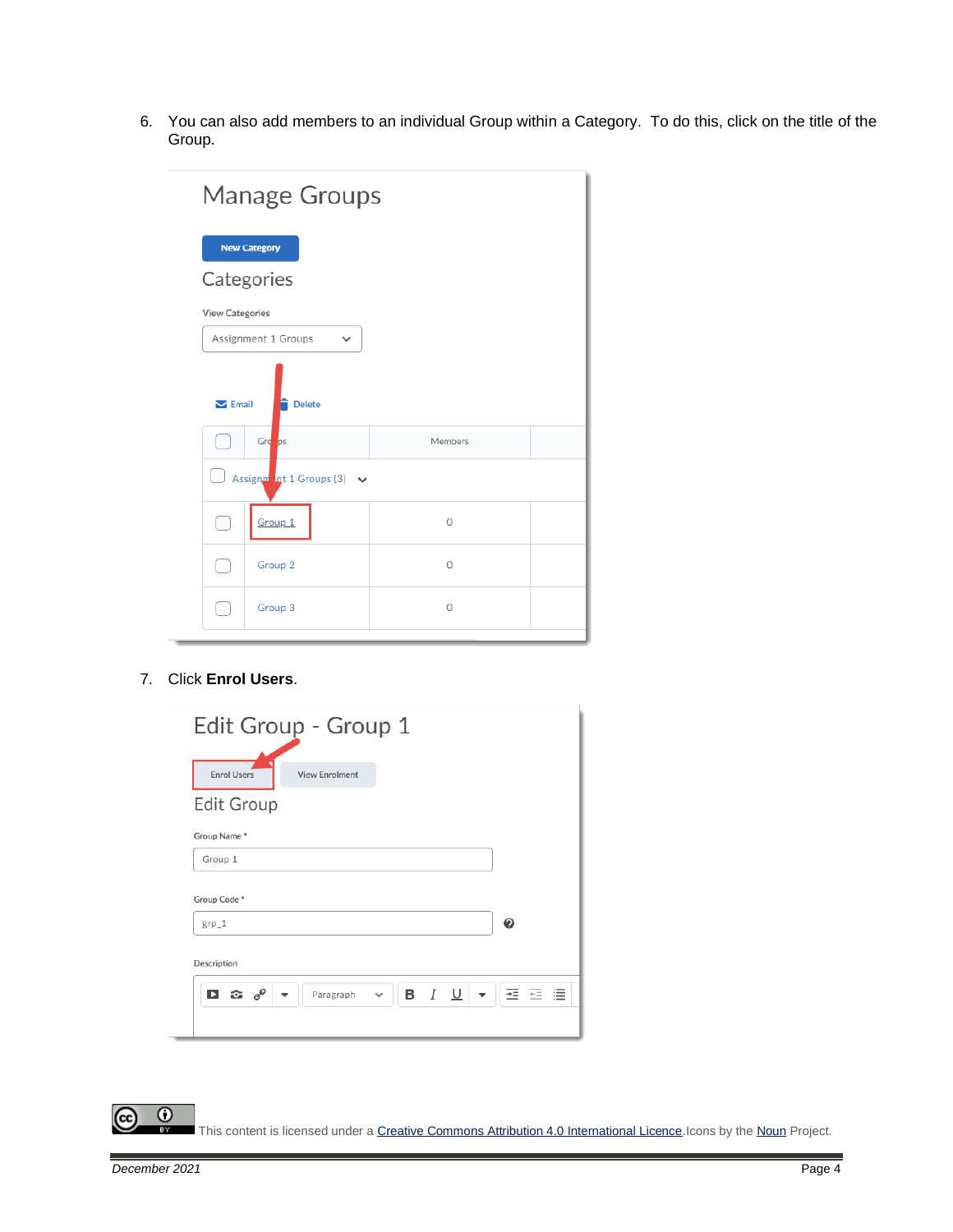6. You can also add members to an individual Group within a Category. To do this, click on the title of the Group.

| <b>Manage Groups</b>               |              |  |  |
|------------------------------------|--------------|--|--|
| <b>New Category</b>                |              |  |  |
| Categories                         |              |  |  |
| <b>View Categories</b>             |              |  |  |
| Assignment 1 Groups<br>$\check{ }$ |              |  |  |
| $\sum$ Email<br><b>Delete</b>      |              |  |  |
| Grd ps                             | Members      |  |  |
| Assignment 1 Groups (3) $\vee$     |              |  |  |
| Group <sub>1</sub>                 | $\mathbf 0$  |  |  |
| Group 2                            | $\mathbf{0}$ |  |  |
| Group 3                            | $\mathbf 0$  |  |  |

7. Click **Enrol Users**.

| Edit Group - Group 1 |                       |              |                          |                     |
|----------------------|-----------------------|--------------|--------------------------|---------------------|
| <b>Enrol Users</b>   | <b>View Enrolment</b> |              |                          |                     |
| <b>Edit Group</b>    |                       |              |                          |                     |
| Group Name*          |                       |              |                          |                     |
| Group 1              |                       |              |                          |                     |
| Group Code*          |                       |              |                          |                     |
| $grp_1$              |                       |              |                          | ❷                   |
| Description          |                       |              |                          |                     |
| ◘ ≎ ∘                | Paragraph             | $\checkmark$ | <b>B</b> $I \perp$<br>╾┊ | 這<br>$\equiv$<br>죠. |
|                      |                       |              |                          |                     |

 $\overline{\odot}$ This content is licensed under [a Creative Commons Attribution 4.0 International Licence.I](https://creativecommons.org/licenses/by/4.0/)cons by th[e Noun](https://creativecommons.org/website-icons/) Project.

(cc